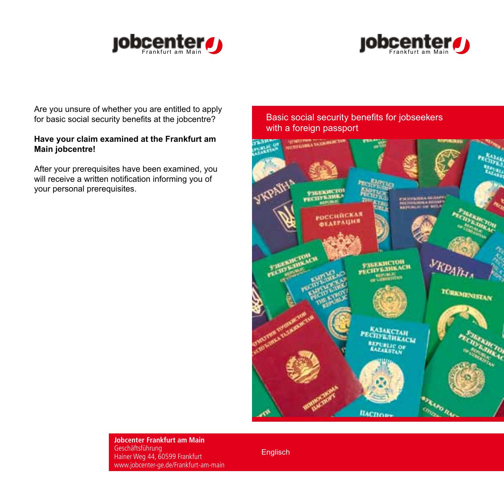



Are you unsure of whether you are entitled to apply for basic social security benefits at the jobcentre?

## **Have your claim examined at the Frankfurt am Main jobcentre!**

After your prerequisites have been examined, you will receive a written notification informing you of your personal prerequisites.

## Basic social security benefits for jobseekers with a foreign passport



**Jobcenter Frankfurt am Main** Geschäftsführung Hainer Weg 44, 60599 Frankfurt www.jobcenter-ge.de/Frankfurt-am-main

Englisch